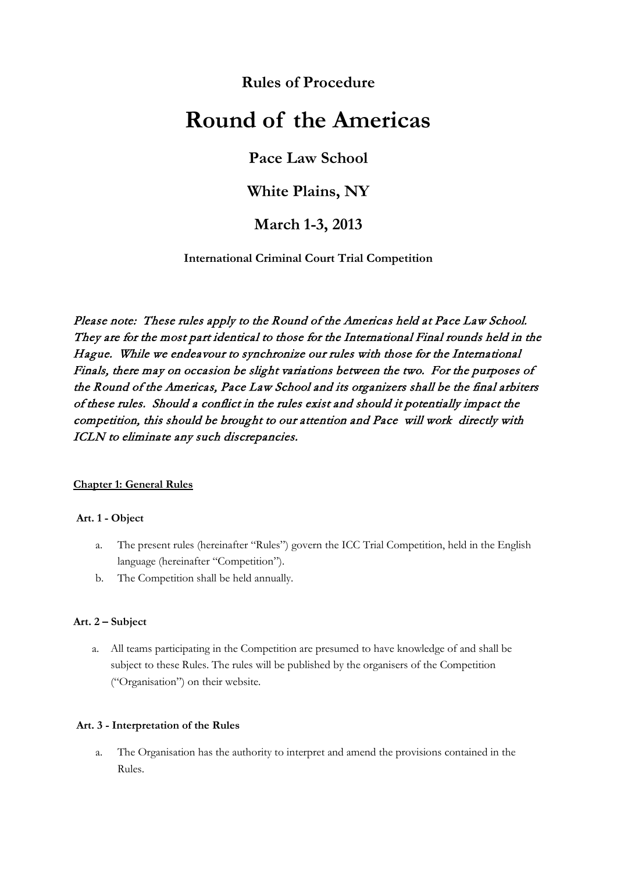# **Rules of Procedure**

# **Round of the Americas**

# **Pace Law School**

# **White Plains, NY**

# **March 1-3, 2013**

**International Criminal Court Trial Competition**

Please note: These rules apply to the Round of the Americas held at Pace Law School. They are for the most part identical to those for the International Final rounds held in the Hague. While we endeavour to synchronize our rules with those for the International Finals, there may on occasion be slight variations between the two. For the purposes of the Round of the Americas, Pace Law School and its organizers shall be the final arbiters of these rules. Should a conflict in the rules exist and should it potentially impact the competition, this should be brought to our attention and Pace will work directly with ICLN to eliminate any such discrepancies.

# **Chapter 1: General Rules**

#### **Art. 1 - Object**

- a. The present rules (hereinafter "Rules") govern the ICC Trial Competition, held in the English language (hereinafter "Competition").
- b. The Competition shall be held annually.

# **Art. 2 – Subject**

a. All teams participating in the Competition are presumed to have knowledge of and shall be subject to these Rules. The rules will be published by the organisers of the Competition ("Organisation") on their website.

# **Art. 3 - Interpretation of the Rules**

a. The Organisation has the authority to interpret and amend the provisions contained in the Rules.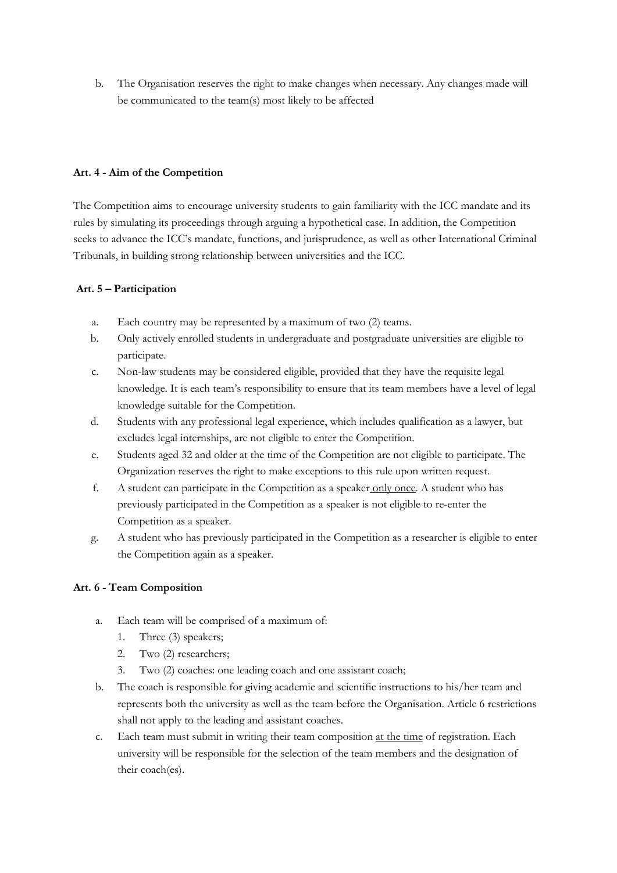b. The Organisation reserves the right to make changes when necessary. Any changes made will be communicated to the team(s) most likely to be affected

### **Art. 4 - Aim of the Competition**

The Competition aims to encourage university students to gain familiarity with the ICC mandate and its rules by simulating its proceedings through arguing a hypothetical case. In addition, the Competition seeks to advance the ICC's mandate, functions, and jurisprudence, as well as other International Criminal Tribunals, in building strong relationship between universities and the ICC.

# **Art. 5 – Participation**

- a. Each country may be represented by a maximum of two (2) teams.
- b. Only actively enrolled students in undergraduate and postgraduate universities are eligible to participate.
- c. Non-law students may be considered eligible, provided that they have the requisite legal knowledge. It is each team's responsibility to ensure that its team members have a level of legal knowledge suitable for the Competition.
- d. Students with any professional legal experience, which includes qualification as a lawyer, but excludes legal internships, are not eligible to enter the Competition.
- e. Students aged 32 and older at the time of the Competition are not eligible to participate. The Organization reserves the right to make exceptions to this rule upon written request.
- f. A student can participate in the Competition as a speaker only once. A student who has previously participated in the Competition as a speaker is not eligible to re-enter the Competition as a speaker.
- g. A student who has previously participated in the Competition as a researcher is eligible to enter the Competition again as a speaker.

# **Art. 6 - Team Composition**

- a. Each team will be comprised of a maximum of:
	- 1. Three (3) speakers;
	- 2. Two (2) researchers;
	- 3. Two (2) coaches: one leading coach and one assistant coach;
- b. The coach is responsible for giving academic and scientific instructions to his/her team and represents both the university as well as the team before the Organisation. Article 6 restrictions shall not apply to the leading and assistant coaches.
- c. Each team must submit in writing their team composition at the time of registration. Each university will be responsible for the selection of the team members and the designation of their coach(es).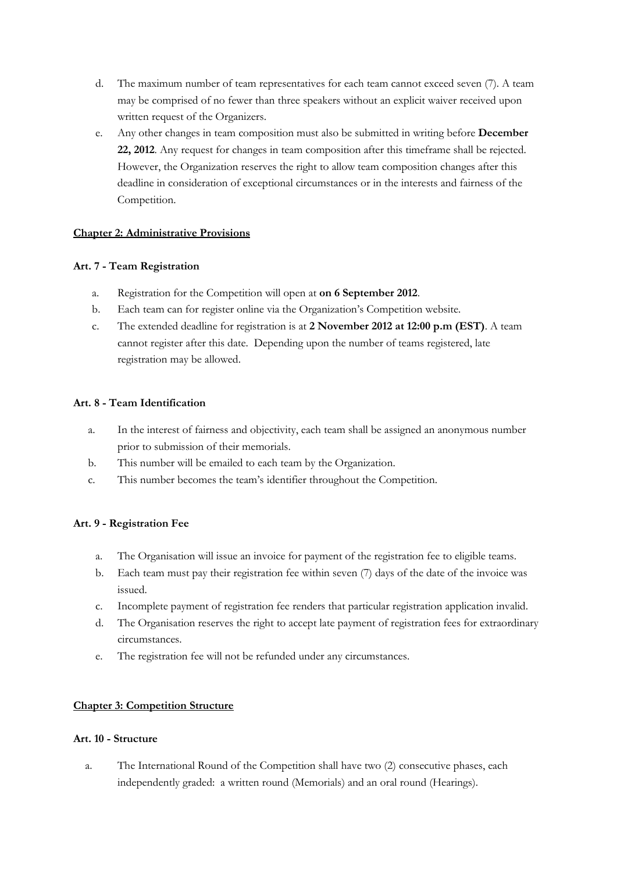- d. The maximum number of team representatives for each team cannot exceed seven (7). A team may be comprised of no fewer than three speakers without an explicit waiver received upon written request of the Organizers.
- e. Any other changes in team composition must also be submitted in writing before **December 22, 2012**. Any request for changes in team composition after this timeframe shall be rejected. However, the Organization reserves the right to allow team composition changes after this deadline in consideration of exceptional circumstances or in the interests and fairness of the Competition.

# **Chapter 2: Administrative Provisions**

# **Art. 7 - Team Registration**

- a. Registration for the Competition will open at **on 6 September 2012**.
- b. Each team can for register online via the Organization's Competition website.
- c. The extended deadline for registration is at **2 November 2012 at 12:00 p.m (EST)**. A team cannot register after this date. Depending upon the number of teams registered, late registration may be allowed.

# **Art. 8 - Team Identification**

- a. In the interest of fairness and objectivity, each team shall be assigned an anonymous number prior to submission of their memorials.
- b. This number will be emailed to each team by the Organization.
- c. This number becomes the team's identifier throughout the Competition.

# **Art. 9 - Registration Fee**

- a. The Organisation will issue an invoice for payment of the registration fee to eligible teams.
- b. Each team must pay their registration fee within seven (7) days of the date of the invoice was issued.
- c. Incomplete payment of registration fee renders that particular registration application invalid.
- d. The Organisation reserves the right to accept late payment of registration fees for extraordinary circumstances.
- e. The registration fee will not be refunded under any circumstances.

#### **Chapter 3: Competition Structure**

#### **Art. 10 - Structure**

a. The International Round of the Competition shall have two (2) consecutive phases, each independently graded: a written round (Memorials) and an oral round (Hearings).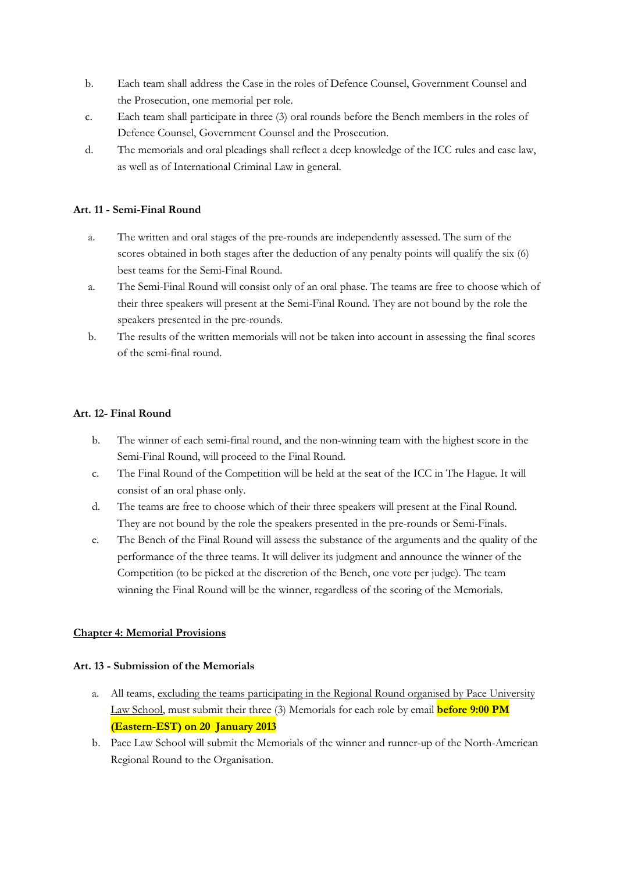- b. Each team shall address the Case in the roles of Defence Counsel, Government Counsel and the Prosecution, one memorial per role.
- c. Each team shall participate in three (3) oral rounds before the Bench members in the roles of Defence Counsel, Government Counsel and the Prosecution.
- d. The memorials and oral pleadings shall reflect a deep knowledge of the ICC rules and case law, as well as of International Criminal Law in general.

# **Art. 11 - Semi-Final Round**

- a. The written and oral stages of the pre-rounds are independently assessed. The sum of the scores obtained in both stages after the deduction of any penalty points will qualify the six (6) best teams for the Semi-Final Round.
- a. The Semi-Final Round will consist only of an oral phase. The teams are free to choose which of their three speakers will present at the Semi-Final Round. They are not bound by the role the speakers presented in the pre-rounds.
- b. The results of the written memorials will not be taken into account in assessing the final scores of the semi-final round.

# **Art. 12- Final Round**

- b. The winner of each semi-final round, and the non-winning team with the highest score in the Semi-Final Round, will proceed to the Final Round.
- c. The Final Round of the Competition will be held at the seat of the ICC in The Hague. It will consist of an oral phase only.
- d. The teams are free to choose which of their three speakers will present at the Final Round. They are not bound by the role the speakers presented in the pre-rounds or Semi-Finals.
- e. The Bench of the Final Round will assess the substance of the arguments and the quality of the performance of the three teams. It will deliver its judgment and announce the winner of the Competition (to be picked at the discretion of the Bench, one vote per judge). The team winning the Final Round will be the winner, regardless of the scoring of the Memorials.

#### **Chapter 4: Memorial Provisions**

#### **Art. 13 - Submission of the Memorials**

- a. All teams, excluding the teams participating in the Regional Round organised by Pace University Law School, must submit their three (3) Memorials for each role by email **before 9:00 PM (Eastern-EST) on 20 January 2013**
- b. Pace Law School will submit the Memorials of the winner and runner-up of the North-American Regional Round to the Organisation.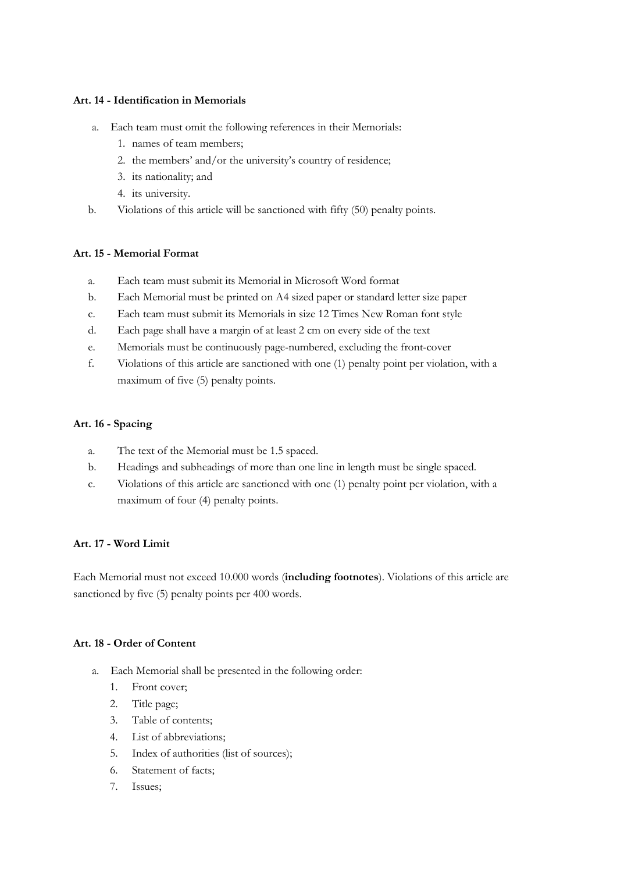### **Art. 14 - Identification in Memorials**

- a. Each team must omit the following references in their Memorials:
	- 1. names of team members;
	- 2. the members' and/or the university's country of residence;
	- 3. its nationality; and
	- 4. its university.
- b. Violations of this article will be sanctioned with fifty (50) penalty points.

# **Art. 15 - Memorial Format**

- a. Each team must submit its Memorial in Microsoft Word format
- b. Each Memorial must be printed on A4 sized paper or standard letter size paper
- c. Each team must submit its Memorials in size 12 Times New Roman font style
- d. Each page shall have a margin of at least 2 cm on every side of the text
- e. Memorials must be continuously page-numbered, excluding the front-cover
- f. Violations of this article are sanctioned with one (1) penalty point per violation, with a maximum of five (5) penalty points.

# **Art. 16 - Spacing**

- a. The text of the Memorial must be 1.5 spaced.
- b. Headings and subheadings of more than one line in length must be single spaced.
- c. Violations of this article are sanctioned with one (1) penalty point per violation, with a maximum of four (4) penalty points.

# **Art. 17 - Word Limit**

Each Memorial must not exceed 10.000 words (**including footnotes**). Violations of this article are sanctioned by five (5) penalty points per 400 words.

#### **Art. 18 - Order of Content**

- a. Each Memorial shall be presented in the following order:
	- 1. Front cover;
	- 2. Title page;
	- 3. Table of contents;
	- 4. List of abbreviations;
	- 5. Index of authorities (list of sources);
	- 6. Statement of facts;
	- 7. Issues;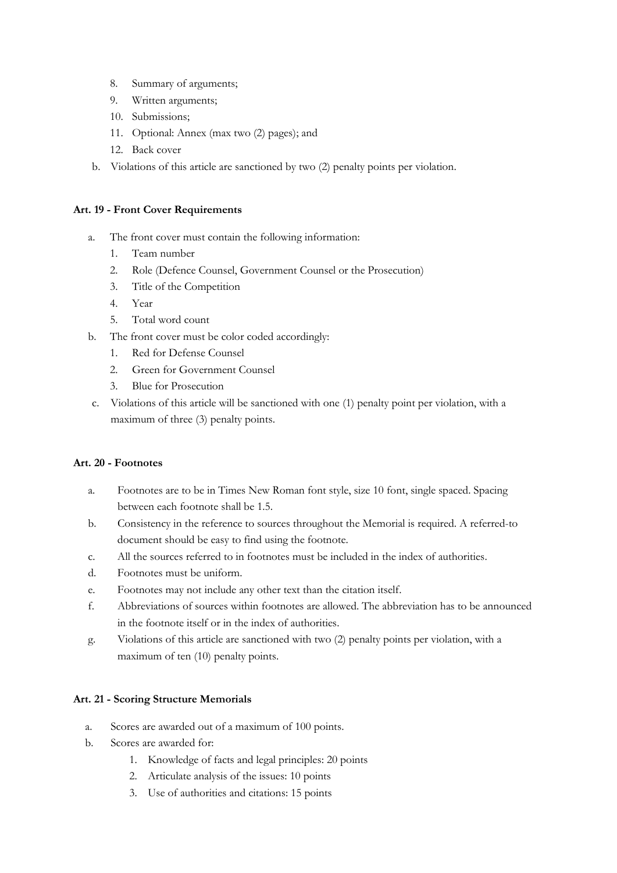- 8. Summary of arguments;
- 9. Written arguments;
- 10. Submissions;
- 11. Optional: Annex (max two (2) pages); and
- 12. Back cover
- b. Violations of this article are sanctioned by two (2) penalty points per violation.

#### **Art. 19 - Front Cover Requirements**

- a. The front cover must contain the following information:
	- 1. Team number
	- 2. Role (Defence Counsel, Government Counsel or the Prosecution)
	- 3. Title of the Competition
	- 4. Year
	- 5. Total word count
- b. The front cover must be color coded accordingly:
	- 1. Red for Defense Counsel
	- 2. Green for Government Counsel
	- 3. Blue for Prosecution
- c. Violations of this article will be sanctioned with one (1) penalty point per violation, with a maximum of three (3) penalty points.

#### **Art. 20 - Footnotes**

- a. Footnotes are to be in Times New Roman font style, size 10 font, single spaced. Spacing between each footnote shall be 1.5.
- b. Consistency in the reference to sources throughout the Memorial is required. A referred-to document should be easy to find using the footnote.
- c. All the sources referred to in footnotes must be included in the index of authorities.
- d. Footnotes must be uniform.
- e. Footnotes may not include any other text than the citation itself.
- f. Abbreviations of sources within footnotes are allowed. The abbreviation has to be announced in the footnote itself or in the index of authorities.
- g. Violations of this article are sanctioned with two (2) penalty points per violation, with a maximum of ten (10) penalty points.

#### **Art. 21 - Scoring Structure Memorials**

- a. Scores are awarded out of a maximum of 100 points.
- b. Scores are awarded for:
	- 1. Knowledge of facts and legal principles: 20 points
	- 2. Articulate analysis of the issues: 10 points
	- 3. Use of authorities and citations: 15 points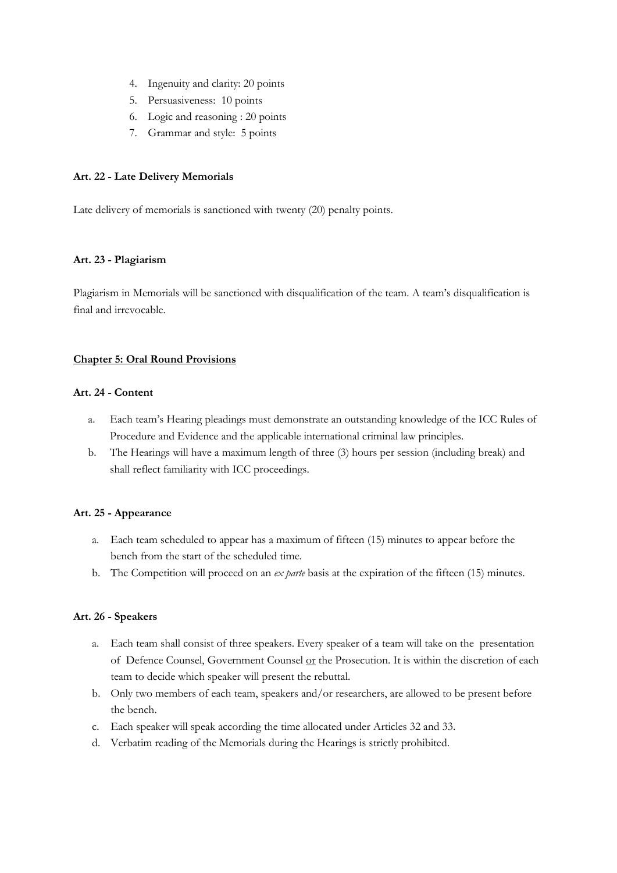- 4. Ingenuity and clarity: 20 points
- 5. Persuasiveness: 10 points
- 6. Logic and reasoning : 20 points
- 7. Grammar and style: 5 points

# **Art. 22 - Late Delivery Memorials**

Late delivery of memorials is sanctioned with twenty (20) penalty points.

# **Art. 23 - Plagiarism**

Plagiarism in Memorials will be sanctioned with disqualification of the team. A team's disqualification is final and irrevocable.

# **Chapter 5: Oral Round Provisions**

# **Art. 24 - Content**

- a. Each team's Hearing pleadings must demonstrate an outstanding knowledge of the ICC Rules of Procedure and Evidence and the applicable international criminal law principles.
- b. The Hearings will have a maximum length of three (3) hours per session (including break) and shall reflect familiarity with ICC proceedings.

# **Art. 25 - Appearance**

- a. Each team scheduled to appear has a maximum of fifteen (15) minutes to appear before the bench from the start of the scheduled time.
- b. The Competition will proceed on an *ex parte* basis at the expiration of the fifteen (15) minutes.

# **Art. 26 - Speakers**

- a. Each team shall consist of three speakers. Every speaker of a team will take on the presentation of Defence Counsel, Government Counsel  $or$  the Prosecution. It is within the discretion of each</u> team to decide which speaker will present the rebuttal.
- b. Only two members of each team, speakers and/or researchers, are allowed to be present before the bench.
- c. Each speaker will speak according the time allocated under Articles 32 and 33.
- d. Verbatim reading of the Memorials during the Hearings is strictly prohibited.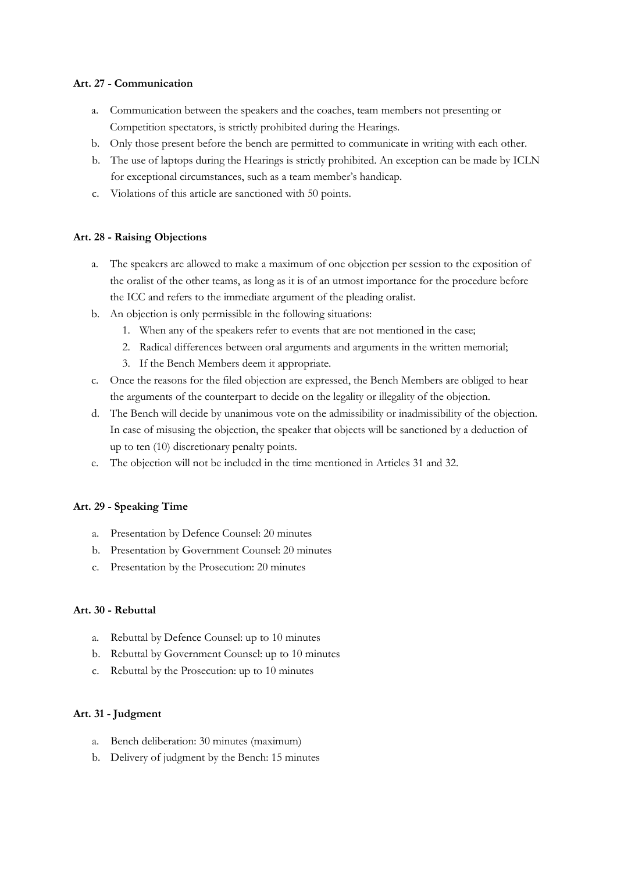# **Art. 27 - Communication**

- a. Communication between the speakers and the coaches, team members not presenting or Competition spectators, is strictly prohibited during the Hearings.
- b. Only those present before the bench are permitted to communicate in writing with each other.
- b. The use of laptops during the Hearings is strictly prohibited. An exception can be made by ICLN for exceptional circumstances, such as a team member's handicap.
- c. Violations of this article are sanctioned with 50 points.

# **Art. 28 - Raising Objections**

- a. The speakers are allowed to make a maximum of one objection per session to the exposition of the oralist of the other teams, as long as it is of an utmost importance for the procedure before the ICC and refers to the immediate argument of the pleading oralist.
- b. An objection is only permissible in the following situations:
	- 1. When any of the speakers refer to events that are not mentioned in the case;
	- 2. Radical differences between oral arguments and arguments in the written memorial;
	- 3. If the Bench Members deem it appropriate.
- c. Once the reasons for the filed objection are expressed, the Bench Members are obliged to hear the arguments of the counterpart to decide on the legality or illegality of the objection.
- d. The Bench will decide by unanimous vote on the admissibility or inadmissibility of the objection. In case of misusing the objection, the speaker that objects will be sanctioned by a deduction of up to ten (10) discretionary penalty points.
- e. The objection will not be included in the time mentioned in Articles 31 and 32.

#### **Art. 29 - Speaking Time**

- a. Presentation by Defence Counsel: 20 minutes
- b. Presentation by Government Counsel: 20 minutes
- c. Presentation by the Prosecution: 20 minutes

#### **Art. 30 - Rebuttal**

- a. Rebuttal by Defence Counsel: up to 10 minutes
- b. Rebuttal by Government Counsel: up to 10 minutes
- c. Rebuttal by the Prosecution: up to 10 minutes

#### **Art. 31 - Judgment**

- a. Bench deliberation: 30 minutes (maximum)
- b. Delivery of judgment by the Bench: 15 minutes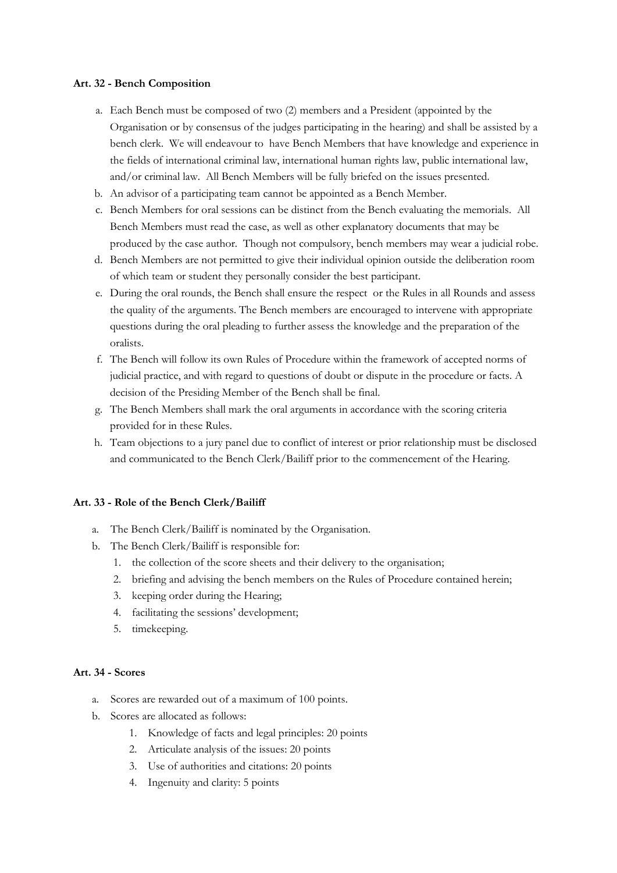# **Art. 32 - Bench Composition**

- a. Each Bench must be composed of two (2) members and a President (appointed by the Organisation or by consensus of the judges participating in the hearing) and shall be assisted by a bench clerk. We will endeavour to have Bench Members that have knowledge and experience in the fields of international criminal law, international human rights law, public international law, and/or criminal law. All Bench Members will be fully briefed on the issues presented.
- b. An advisor of a participating team cannot be appointed as a Bench Member.
- c. Bench Members for oral sessions can be distinct from the Bench evaluating the memorials. All Bench Members must read the case, as well as other explanatory documents that may be produced by the case author. Though not compulsory, bench members may wear a judicial robe.
- d. Bench Members are not permitted to give their individual opinion outside the deliberation room of which team or student they personally consider the best participant.
- e. During the oral rounds, the Bench shall ensure the respect or the Rules in all Rounds and assess the quality of the arguments. The Bench members are encouraged to intervene with appropriate questions during the oral pleading to further assess the knowledge and the preparation of the oralists.
- f. The Bench will follow its own Rules of Procedure within the framework of accepted norms of judicial practice, and with regard to questions of doubt or dispute in the procedure or facts. A decision of the Presiding Member of the Bench shall be final.
- g. The Bench Members shall mark the oral arguments in accordance with the scoring criteria provided for in these Rules.
- h. Team objections to a jury panel due to conflict of interest or prior relationship must be disclosed and communicated to the Bench Clerk/Bailiff prior to the commencement of the Hearing.

#### **Art. 33 - Role of the Bench Clerk/Bailiff**

- a. The Bench Clerk/Bailiff is nominated by the Organisation.
- b. The Bench Clerk/Bailiff is responsible for:
	- 1. the collection of the score sheets and their delivery to the organisation;
	- 2. briefing and advising the bench members on the Rules of Procedure contained herein;
	- 3. keeping order during the Hearing;
	- 4. facilitating the sessions' development;
	- 5. timekeeping.

#### **Art. 34 - Scores**

- a. Scores are rewarded out of a maximum of 100 points.
- b. Scores are allocated as follows:
	- 1. Knowledge of facts and legal principles: 20 points
	- 2. Articulate analysis of the issues: 20 points
	- 3. Use of authorities and citations: 20 points
	- 4. Ingenuity and clarity: 5 points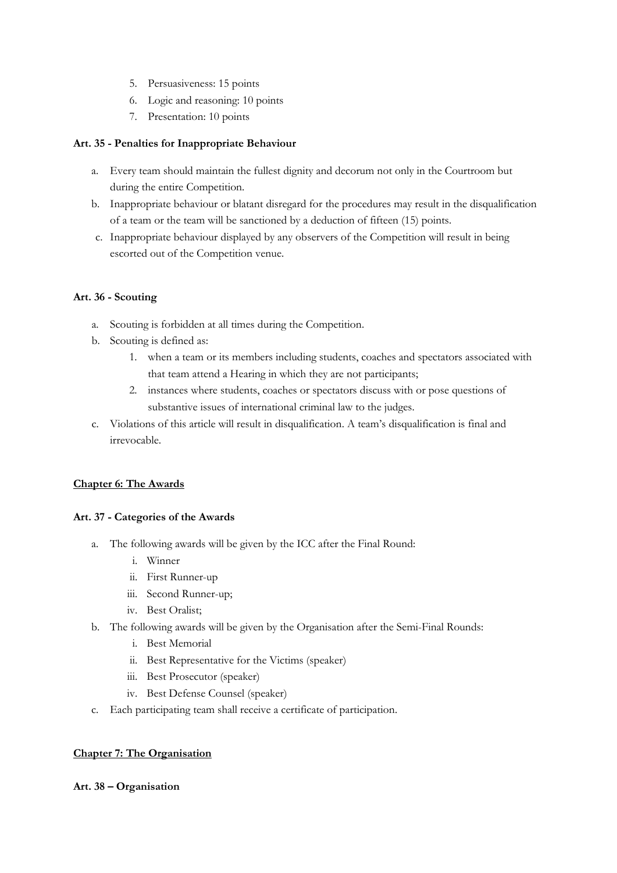- 5. Persuasiveness: 15 points
- 6. Logic and reasoning: 10 points
- 7. Presentation: 10 points

# **Art. 35 - Penalties for Inappropriate Behaviour**

- a. Every team should maintain the fullest dignity and decorum not only in the Courtroom but during the entire Competition.
- b. Inappropriate behaviour or blatant disregard for the procedures may result in the disqualification of a team or the team will be sanctioned by a deduction of fifteen (15) points.
- c. Inappropriate behaviour displayed by any observers of the Competition will result in being escorted out of the Competition venue.

# **Art. 36 - Scouting**

- a. Scouting is forbidden at all times during the Competition.
- b. Scouting is defined as:
	- 1. when a team or its members including students, coaches and spectators associated with that team attend a Hearing in which they are not participants;
	- 2. instances where students, coaches or spectators discuss with or pose questions of substantive issues of international criminal law to the judges.
- c. Violations of this article will result in disqualification. A team's disqualification is final and irrevocable.

#### **Chapter 6: The Awards**

#### **Art. 37 - Categories of the Awards**

- a. The following awards will be given by the ICC after the Final Round:
	- i. Winner
	- ii. First Runner-up
	- iii. Second Runner-up;
	- iv. Best Oralist;
- b. The following awards will be given by the Organisation after the Semi-Final Rounds:
	- i. Best Memorial
	- ii. Best Representative for the Victims (speaker)
	- iii. Best Prosecutor (speaker)
	- iv. Best Defense Counsel (speaker)
- c. Each participating team shall receive a certificate of participation.

#### **Chapter 7: The Organisation**

#### **Art. 38 – Organisation**